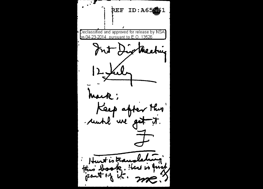REF ID: A65061  $\sf Declassified$  and approved for release by NSA $\sf I$ bn 04-23-2014 - pursuant to E.O. 13526. Int Diptheeting  $12 \mu l$ mark; Keep after this Hurt is translating this book. Here is quick me